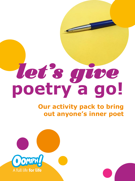# **poetry a go!** *let's give*

# **Our activity pack to bring out anyone's inner poet**

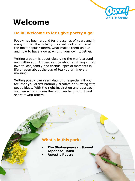

# **Welcome**

### **Hello! Welcome to let's give poetry a go!**

Poetry has been around for thousands of years and in many forms. This activity pack will look at some of the most popular forms, what makes them unique and how to have a go at writing your own together.

Writing a poem is about observing the world around and within you. A poem can be about anything - from love to loss, family and friends, special moments in life or even about the cup of tea you drink every morning!

Writing poetry can seem daunting, especially if you feel that you aren't naturally creative or bursting with poetic ideas. With the right inspiration and approach, you can write a poem that you can be proud of and share it with others.

### **What's in this pack:**

- **The Shakespearean Sonnet**
- **Japanese Haiku**
- **Acrostic Poetry**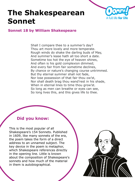

### **Sonnet 18 by William Shakespeare**

Shall I compare thee to a summer's day? Thou art more lovely and more temperate. Rough winds do shake the darling buds of May, And summer's lease hath all too short a date. Sometime too hot the eye of heaven shines, And often is his gold complexion dimmed; And every fair from fair sometime declines, By chance or nature's changing course untrimmed. But thy eternal summer shall not fade, Nor lose possession of that fair thou ow'st, Nor shall death brag thou wand'rest in his shade, When in eternal lines to time thou grow'st. So long as men can breathe or eyes can see, So long lives this, and this gives life to thee.

# **Did you know:**

This is the most popular of all Shakespeare's 154 Sonnets. Published in 1609, like many sonnets of the era, the poem takes the form of a direct address to an unnamed subject. The key device in the poem is metaphor, which Shakespeare references directly in the opening line. Little is known about the composition of Shakespeare's sonnets and how much of the material in them is autobiographical.

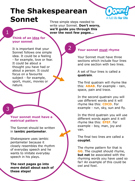

Three simple steps needed to write your Sonnet. **Don't worry, we'll guide you through this 1** over the next few pages...

2

#### **Think of an idea for your sonnet**

It is important that your Sonnet follows one simple idea. It could be a feeling - for example, love or fear. It could be about a thought you have had or about a person. It could focus on a favourite subject - for example, sport, music, movies or nature.

3

#### **Your sonnet must have a metrical pattern**

The Sonnet should be written in **iambic pentameter**.

Shakespeare uses iambic pentameter because it closely resembles the rhythm of everyday speech and he wants to imitate everyday speech in his plays.

**The next pages go into more detail about each of these steps!**

#### **Your sonnet must rhyme**

Your Sonnet must have three sections which include four lines and one section with two lines.

A set of four lines is called a **quatrain**.

The first quatrain will rhyme like this: **ABAB**. For example - rain, space, pain and trace.

In the second quatrain you will use different words and it will rhyme like this: **CDCD**. For example - run, sky, sun and fly.

In the third quatrain you will use different words again and it will rhyme like this: **EFEF**. For example - boy, man, joy and van.

The final two lines are called a **couplet**.

The rhyme pattern for that is **GG**. The couplet should rhyme, **but not** be associated with the rhyming words you have used so far! An example of this could be owl and fowl.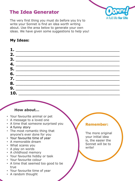# **The Idea Generator**



The very first thing you must do before you try to write your Sonnet is find an idea worth writing about. Use the area below to generate your own ideas. We have given some suggestions to help you!

## **My Ideas:**

|    | <u> 1989 - Johann Stein, mars an deutscher Stein und der Stein und der Stein und der Stein und der Stein und der</u> |  |  |
|----|----------------------------------------------------------------------------------------------------------------------|--|--|
| 2. |                                                                                                                      |  |  |
| 3. |                                                                                                                      |  |  |
| 4. |                                                                                                                      |  |  |
| 5. |                                                                                                                      |  |  |
| 6. |                                                                                                                      |  |  |
|    | 7. $\qquad \qquad$                                                                                                   |  |  |
| 8. |                                                                                                                      |  |  |
| 9. |                                                                                                                      |  |  |
|    | 10.                                                                                                                  |  |  |

#### **How about…**

- Your favourite animal or pet
- A message to a loved one
- A time that someone surprised you
- A funny story
- The most romantic thing that anyone's ever done for you
- Your favourite time of year
- A memorable dream
- What scares you
- A play on words
- A childhood memory
- Your favourite hobby or task
- Your favourite colour
- A time that seemed too good to be true
- Your favourite time of year
- A random thought

### **Remember:**

The more original your initial idea is, the easier the Sonnet will be to write!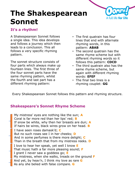

### **It's a rhythm!**

A Shakespearean Sonnet follows a single idea. This idea develops and follows a journey which then leads to a conclusion. This all follows a very specific rhyming pattern.

The sonnet structure consists of four parts which always make up fourteen lines. The first three of the four sonnet parts have the same rhyming pattern, whilst the fourth and last part has a different rhyming pattern:

- The first quatrain has four lines that end with alternate rhyming words, in this pattern: **ABAB**
- The second quatrain has the same rhyme scheme but with different rhyming words so it follows this pattern: **CDCD**
- The third quatrain also has the same rhyme scheme, but again with different rhyming words: **EFEF**
- The final two lines is a rhyming couplet: **GG**

Every Shakespearean Sonnet follows this pattern and rhyming structure.

# **Shakespeare's Sonnet Rhyme Scheme**

My mistress' eyes are nothing like the sun; **A** Coral is far more red than her lips' red; **B** If snow be white, why then her breasts are dun; **A** If hairs be wires, black wires grow on her head. **B** I have seen roses damask'd; **C** But no such roses see I in her cheeks; **D** And in some perfumes is there more delight; **C** Than in the breath that from my mistress reeks. **D** I love to hear her speak, yet well I know **E** That music hath a far more pleasing sound; **F** I grant I never saw a goddess go; **E** My mistress, when she walks, treads on the ground **F** And yet, by heav'n, I think my love as rare **G** As any she belied with false compare. **G**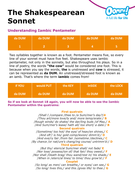

### **Understanding Iambic Pentameter**

| da DUM | da DUM | da DUM | da DUM | da DUM |
|--------|--------|--------|--------|--------|
|        |        |        |        |        |

Two syllables together is known as a foot. Pentameter means five, so every line of your sonnet must have five feet. Shakespeare uses iambic pentameter, not only in the sonnets, but also throughout his plays. So in a line of poetry, the words **"the cow"** would be considered one foot. This is because when you say the words, **the** is unstressed and **cow** is stressed, it can be represented as **da DUM.** An unstressed/stressed foot is known as an iamb. That's where the term **iambic** comes from!

| <b>if YOU</b> | would PUT | the <b>KEY</b> | <b>inSIDE</b> | the LOCK |
|---------------|-----------|----------------|---------------|----------|
| da DUM        | da DUM    | da DUM         | da DUM        | da DUM   |

**So if we look at Sonnet 18 again, you will now be able to see the Iambic Pentameter within the quatrains:**

#### **First quatrain**

*/Shall I /compare /thee to /a Sum/mer's day?/A /Thou art/more love/ly and/ more temp/erate:/* **B** /*Rough winds/ do shake/ the dar/ling buds /of May,/* **A** /*And Sum/mer's lease/ hath all/ too short/ a date:/* **B Second quatrain**

/*Sometime/ too hot/ the eye/ of heav/en shines,/* **C** /*And oft'/ is his/ gold comp/lexion/ dimm'd;/* **D** /*And eve/ry fair /from fair /sometime /declines,/* **C** /*By chance /or nat/ure's chang/ing course/ untrimm'd:/* **D Third quatrain**

/*But thy/ etern/al Sum/mer shall/ not fade/* **E** /*Nor lose/ possess/ion of/ that fair/ thou owest;/* **F** /*Nor shall /Death brag/ thou wand/rest in/ his shade,/* **E** /*When in /etern/al lines/ to time/ thou grow'st:/* **F Couplet**

/*So long/ as men/ can breathe,/ or eyes/ can see,/* **G** /*So long/ lives this,/ and this /gives life/ to thee*./ **G**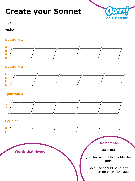# **Create your Sonnet**



Title: \_\_\_\_\_\_\_\_\_\_\_\_\_\_\_\_\_\_\_\_\_

Author: Authority of the state of the state of the state of the state of the state of the state of the state o

### **Quatrain 1**



### **Quatrain 2**



### **Quatrain 3**



### **Couplet**

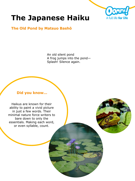

### **The Old Pond by Matsuo Bashō**

An old silent pond A frog jumps into the pond— Splash! Silence again.

#### **Did you know…**

Haikus are known for their ability to paint a vivid picture in just a few words. Their minimal nature force writers to bare down to only the essentials. Making each word, or even syllable, count.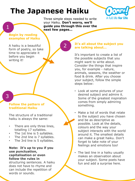

Three simple steps needed to write your Haiku. **Don't worry, we'll guide you through this over the next few pages…**

2

#### **Begin by reading examples of Haiku**

A haiku is a beautiful form of poetry, so take time to appreciate it before you begin writing it!

## 3

1

#### **Follow the pattern of traditional Haiku**

The structure of a traditional haiku is always the same:

- There are only three lines, totalling 17 syllables.
- The 1st line is 5 syllables.
- The 2nd line is 7 syllables.
- The 3rd line is 5 syllables.

#### **Note: It's up to you if you use punctuation, capitalisation or even follow the rules in**

structuring sentences. A haiku does not have to rhyme and can include the repetition of words or sounds.

#### **It's all about the subject you are talking about…**

It's important to create a list of the possible subjects that you might want to write about. Consider the things that inspire you, for example - nature, animals, seasons, the weather or food & drink. After you choose your subject, follow the simple steps below:

- Look at some pictures of your desired subject and admire it. Some of the greatest inspiration comes from simply admiring something.
- Make a list of words that relate to the subject you have chosen and be as descriptive as possible. Look at the details, colours and the way your subject interacts with the world around it. The smallest details can make a great haiku. Don't forget to take note of your feelings and emotions too!
- The last line in a haiku usually makes an observation about your subject. Some poets have fun and add a surprise here.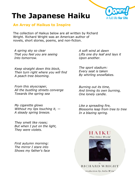

#### **An Array of Haikus to Inspire**

The collection of Haikus below are all written by Richard Wright. Richard Wright was an American author of novels, short stories, poems, and non-fiction.

*A spring sky so clear That you feel you are seeing Into tomorrow.*

*Keep straight down this block, Then turn right where you will find A peach tree blooming.*

*From this skyscraper, All the bustling streets converge Towards the spring sea*

*My cigarette glows Without my lips touching it, — A steady spring breeze.*

*They smelt like roses; But when I put on the light, They were violets.*

*First autumn morning: The mirror I stare into Shows my father's face* *A soft wind at dawn Lifts one dry leaf and lays it Upon another.*

*The sport stadium: Every seat is taken By whirling snowflakes.*

*Burning out its time, And timing its own burning, One lonely candle.*

*Like a spreading fire, Blossoms leap from tree to tree In a blazing spring.*



**RICHARD WRIGHT** 

troduction by Julia Wrig'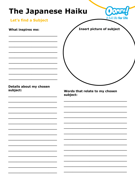

### Let's find a Subject

**What inspires me:** 

**Insert picture of subject** 

#### Details about my chosen subject:

Words that relate to my chosen subject: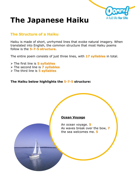

### **The Structure of a Haiku**

Haiku is made of short, unrhymed lines that evoke natural imagery. When translated into English, the common structure that most Haiku poems follow is the **5-7-5 structure**.

The entire poem consists of just three lines, with **17 syllables** in total.

- ➢ The first line is **5 syllables**
- ➢ The second line is **7 syllables**
- ➢ The third line is **5 syllables**

#### **The Haiku below highlights the 5-7-5 structure:**

#### **Ocean Voyage**

An ocean voyage. **5** As waves break over the bow, **7** the sea welcomes me. **5**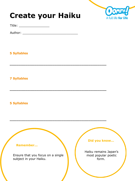# **Create your Haiku**



Title: \_\_\_\_\_\_\_\_\_\_\_\_\_\_\_\_

Author: \_\_\_\_\_\_\_\_\_\_\_\_\_\_\_\_\_\_\_\_\_\_\_\_\_\_\_\_\_

\_\_\_\_\_\_\_\_\_\_\_\_\_\_\_\_\_\_\_\_\_\_\_\_\_\_\_\_\_\_\_\_\_\_\_\_\_\_\_\_\_\_\_

\_\_\_\_\_\_\_\_\_\_\_\_\_\_\_\_\_\_\_\_\_\_\_\_\_\_\_\_\_\_\_\_\_\_\_\_\_\_\_\_\_\_\_

\_\_\_\_\_\_\_\_\_\_\_\_\_\_\_\_\_\_\_\_\_\_\_\_\_\_\_\_\_\_\_\_\_\_\_\_\_\_\_\_\_\_\_

### **5 Syllables**

**7 Syllables** 

### **5 Syllables**

#### **Remember...**

Ensure that you focus on a single subject in your Haiku.

#### **Did you know…**

Haiku remains Japan's most popular poetic form.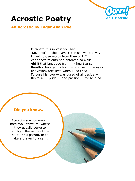

### **An Acrostic by Edgar Allan Poe**

**E**lizabeth it is in vain you say "**L**ove not" — thou sayest it in so sweet a way: **I**n vain those words from thee or L.E.L. **Z**antippe's talents had enforced so well: **A**h! if that language from thy heart arise, **Breath it less gently forth – and veil thine eyes. E**ndymion, recollect, when Luna tried **T**o cure his love — was cured of all beside — **His follie**  $-$  **pride**  $-$  **and passion**  $-$  **for he died.** 

#### **Did you know…**

Acrostics are common in medieval literature, where they usually serve to highlight the name of the poet or his patron, or to make a prayer to a saint.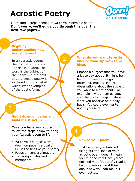

Four simple steps needed to write your Acrostic poem. **Don't worry, we'll guide you through this over the next few pages…**

 $\overline{\mathcal{L}}$ 

#### **Begin by understanding how Acrostics work**

In an acrostic poem, the first letter of each line spells a word. The word is the subject of the poem. On the next page, Acrostic poetry is explored in more detail with further examples of the poetic form.

# 3

#### **Get it down on paper and build it's structure**

Once you have your subject follow the steps below to bring your Acrostic poem to life!

- Write your subject word(s) down on paper vertically
- Fill in the lines of your poetry
- Focus on sensory imagery
- Try using similes and metaphors

#### **What do you want to write about? Come up with some ideas**

Choose a subject that you have a lot to say about. It might be helpful to keep an ongoing notebook, making lists of observations about the subject you want to write about. For example - what inspires you, your favourite things in life and what you observe on a daily basis. You could even write about yourself!

4

#### **Revise your poem**

Just because you finished filling out the lines of your acrostic poem doesn't mean you're done yet! Once you've finished your first draft, read it back to yourself and think about how you can make it even better…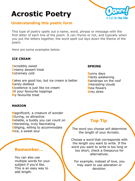

### **Understanding this poetic form**

This type of poetry spells out a name, word, phrase or message with the first letter of each line of the poem. It can rhyme or not, and typically when you put the letters together, the word spelt out lays down the theme of the poem.

Here are some examples below:

#### **ICE CREAM**

**I**ncredibly sweet **C**reamy dessert treat **E**xtremely cold

**C**akes are good too, but ice cream is better **R**arely disliked **E**xcellence is just like ice cream **A**ll your favourite toppings **M**y favourite treat

#### **SPRING**

**S**unny days **P**lants awakening **R**aindrops on the roof **I**nteresting clouds **N**ew flowers **G**rey skies

#### **MARION**

**M**agnificent, a creature of wonder **A**lluring, so attractive **R**eliable, a buddy you can count on **I**nteresting, truly fascinating **O**bliging, willing to accommodate **N**ice, a sweet soul

### **Remember…**

You can also use multiple words for your subject if you'd like. This is an easy way to add length.

# **Top Tip**

The word you choose will determine the length of your Acrostic.

Choose a word that corresponds with the length you want to write. If the word you want to write is too long or too short, check a thesaurus for alternatives.

For example, instead of love, you may want to use adoration or devotion.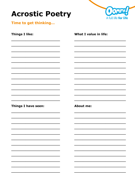

Time to get thinking...

| <b>Things I like:</b>      | What I value in life: |
|----------------------------|-----------------------|
|                            |                       |
|                            |                       |
|                            |                       |
|                            |                       |
|                            |                       |
|                            |                       |
| <b>Things I have seen:</b> | <b>About me:</b>      |
|                            |                       |
|                            |                       |
|                            |                       |
|                            |                       |
|                            |                       |
|                            |                       |
|                            |                       |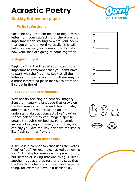### **Getting it down on paper**

#### ➢ **Write it Vertically**

Each line of your poem needs to begin with a letter from your subject word, therefore it is important when starting to write your poem that you write the word vertically. This will help to visualise your poem and anticipate how your lines are going to come together.

#### ➢ **Begin filling it in**

Begin to fill in the lines of your poem. It is important to remember that you don't have to start with the first line. Look at all the letters you have to work with - there may be a more interesting place for you to start and if so begin there!

#### ➢ **Focus on sensory imagery**

Why not try focusing on sensory imagery? Sensory imagery is language that draws on the five senses: sight, sound, touch, taste, and smell. Your reader will be able to understand abstract concepts like "love" or "hope" better if they can imagine specific details through their bodies. For example, instead of saying you love your mother, you can say you love the way her perfume smells like fresh summer flowers.

#### ➢ **Use similes and metaphors**

A simile is a comparison that uses the words "like" or "as." For example, "as red as new lip stick". A metaphor makes a comparison, too, but instead of saying that one thing is "like" another, it goes a step further and says that the two things being compared are the same thing, for example "love is a battlefield".